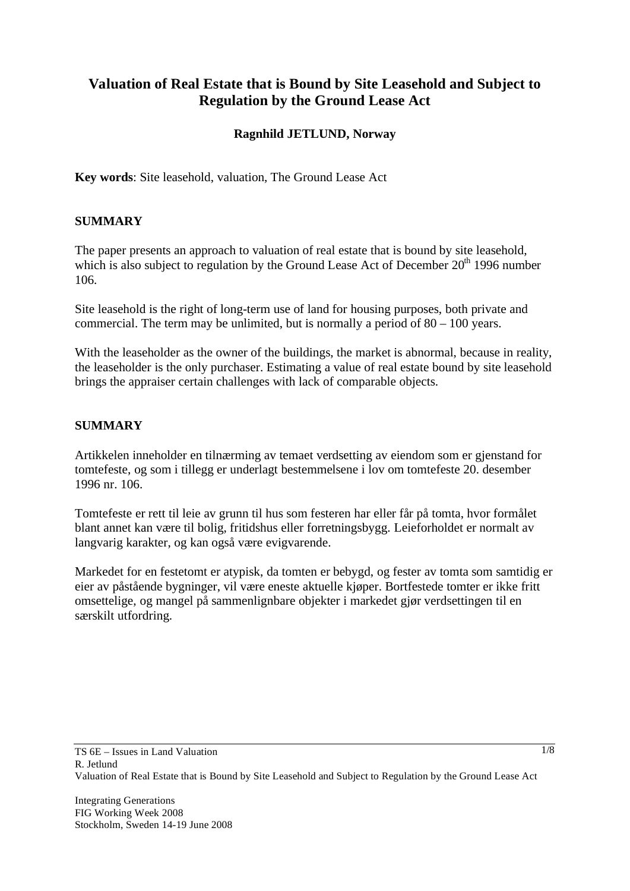# **Valuation of Real Estate that is Bound by Site Leasehold and Subject to Regulation by the Ground Lease Act**

### **Ragnhild JETLUND, Norway**

**Key words**: Site leasehold, valuation, The Ground Lease Act

### **SUMMARY**

The paper presents an approach to valuation of real estate that is bound by site leasehold, which is also subject to regulation by the Ground Lease Act of December  $20<sup>th</sup> 1996$  number 106.

Site leasehold is the right of long-term use of land for housing purposes, both private and commercial. The term may be unlimited, but is normally a period of  $80 - 100$  years.

With the leaseholder as the owner of the buildings, the market is abnormal, because in reality, the leaseholder is the only purchaser. Estimating a value of real estate bound by site leasehold brings the appraiser certain challenges with lack of comparable objects.

### **SUMMARY**

Artikkelen inneholder en tilnærming av temaet verdsetting av eiendom som er gjenstand for tomtefeste, og som i tillegg er underlagt bestemmelsene i lov om tomtefeste 20. desember 1996 nr. 106.

Tomtefeste er rett til leie av grunn til hus som festeren har eller får på tomta, hvor formålet blant annet kan være til bolig, fritidshus eller forretningsbygg. Leieforholdet er normalt av langvarig karakter, og kan også være evigvarende.

Markedet for en festetomt er atypisk, da tomten er bebygd, og fester av tomta som samtidig er eier av påstående bygninger, vil være eneste aktuelle kjøper. Bortfestede tomter er ikke fritt omsettelige, og mangel på sammenlignbare objekter i markedet gjør verdsettingen til en særskilt utfordring.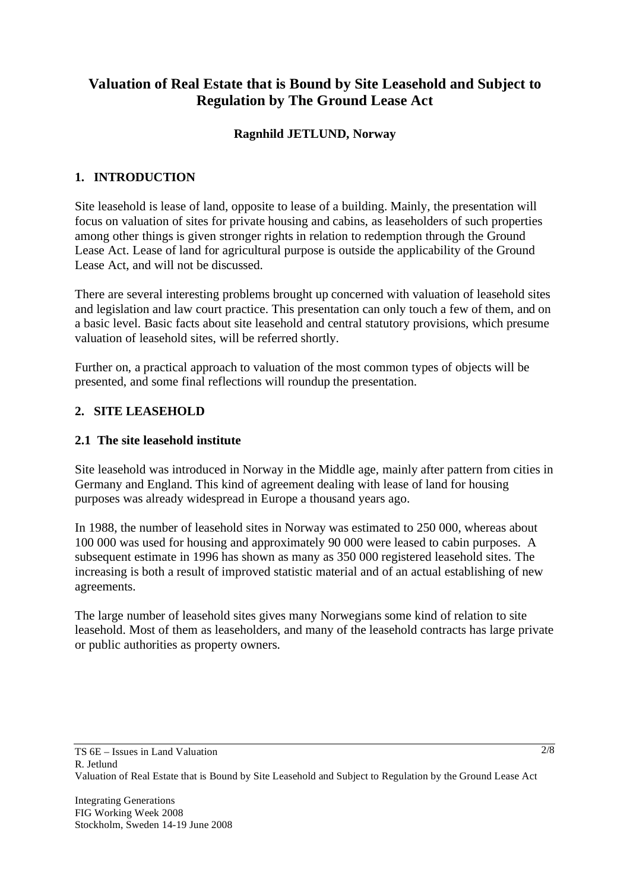# **Valuation of Real Estate that is Bound by Site Leasehold and Subject to Regulation by The Ground Lease Act**

### **Ragnhild JETLUND, Norway**

# **1. INTRODUCTION**

Site leasehold is lease of land, opposite to lease of a building. Mainly, the presentation will focus on valuation of sites for private housing and cabins, as leaseholders of such properties among other things is given stronger rights in relation to redemption through the Ground Lease Act. Lease of land for agricultural purpose is outside the applicability of the Ground Lease Act, and will not be discussed.

There are several interesting problems brought up concerned with valuation of leasehold sites and legislation and law court practice. This presentation can only touch a few of them, and on a basic level. Basic facts about site leasehold and central statutory provisions, which presume valuation of leasehold sites, will be referred shortly.

Further on, a practical approach to valuation of the most common types of objects will be presented, and some final reflections will roundup the presentation.

### **2. SITE LEASEHOLD**

#### **2.1 The site leasehold institute**

Site leasehold was introduced in Norway in the Middle age, mainly after pattern from cities in Germany and England. This kind of agreement dealing with lease of land for housing purposes was already widespread in Europe a thousand years ago.

In 1988, the number of leasehold sites in Norway was estimated to 250 000, whereas about 100 000 was used for housing and approximately 90 000 were leased to cabin purposes. A subsequent estimate in 1996 has shown as many as 350 000 registered leasehold sites. The increasing is both a result of improved statistic material and of an actual establishing of new agreements.

The large number of leasehold sites gives many Norwegians some kind of relation to site leasehold. Most of them as leaseholders, and many of the leasehold contracts has large private or public authorities as property owners.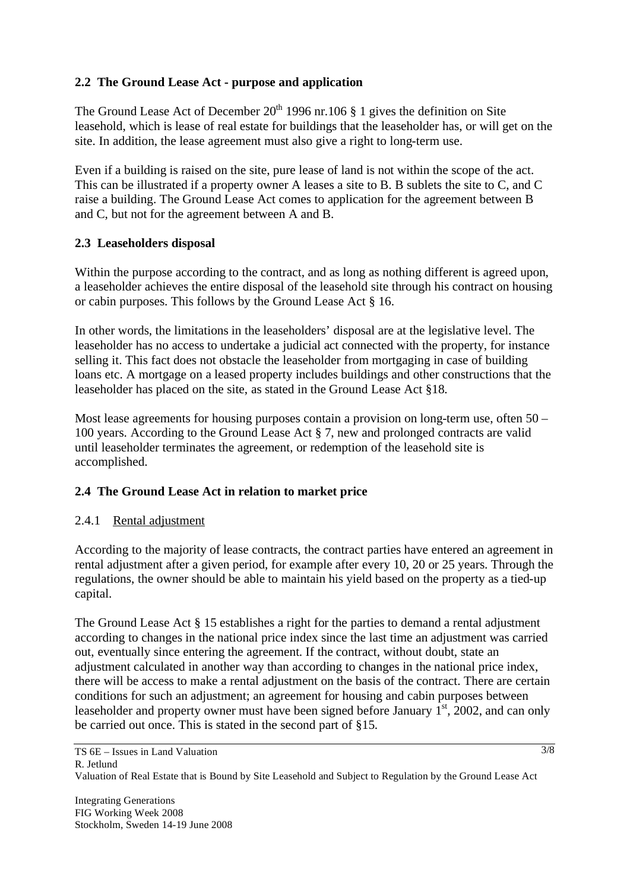### **2.2 The Ground Lease Act - purpose and application**

The Ground Lease Act of December  $20<sup>th</sup> 1996$  nr.106 § 1 gives the definition on Site leasehold, which is lease of real estate for buildings that the leaseholder has, or will get on the site. In addition, the lease agreement must also give a right to long-term use.

Even if a building is raised on the site, pure lease of land is not within the scope of the act. This can be illustrated if a property owner A leases a site to B. B sublets the site to C, and C raise a building. The Ground Lease Act comes to application for the agreement between B and C, but not for the agreement between A and B.

### **2.3 Leaseholders disposal**

Within the purpose according to the contract, and as long as nothing different is agreed upon, a leaseholder achieves the entire disposal of the leasehold site through his contract on housing or cabin purposes. This follows by the Ground Lease Act § 16.

In other words, the limitations in the leaseholders' disposal are at the legislative level. The leaseholder has no access to undertake a judicial act connected with the property, for instance selling it. This fact does not obstacle the leaseholder from mortgaging in case of building loans etc. A mortgage on a leased property includes buildings and other constructions that the leaseholder has placed on the site, as stated in the Ground Lease Act §18.

Most lease agreements for housing purposes contain a provision on long-term use, often 50 – 100 years. According to the Ground Lease Act § 7, new and prolonged contracts are valid until leaseholder terminates the agreement, or redemption of the leasehold site is accomplished.

# **2.4 The Ground Lease Act in relation to market price**

### 2.4.1 Rental adjustment

According to the majority of lease contracts, the contract parties have entered an agreement in rental adjustment after a given period, for example after every 10, 20 or 25 years. Through the regulations, the owner should be able to maintain his yield based on the property as a tied-up capital.

The Ground Lease Act § 15 establishes a right for the parties to demand a rental adjustment according to changes in the national price index since the last time an adjustment was carried out, eventually since entering the agreement. If the contract, without doubt, state an adjustment calculated in another way than according to changes in the national price index, there will be access to make a rental adjustment on the basis of the contract. There are certain conditions for such an adjustment; an agreement for housing and cabin purposes between leaseholder and property owner must have been signed before January  $1<sup>st</sup>$ , 2002, and can only be carried out once. This is stated in the second part of §15.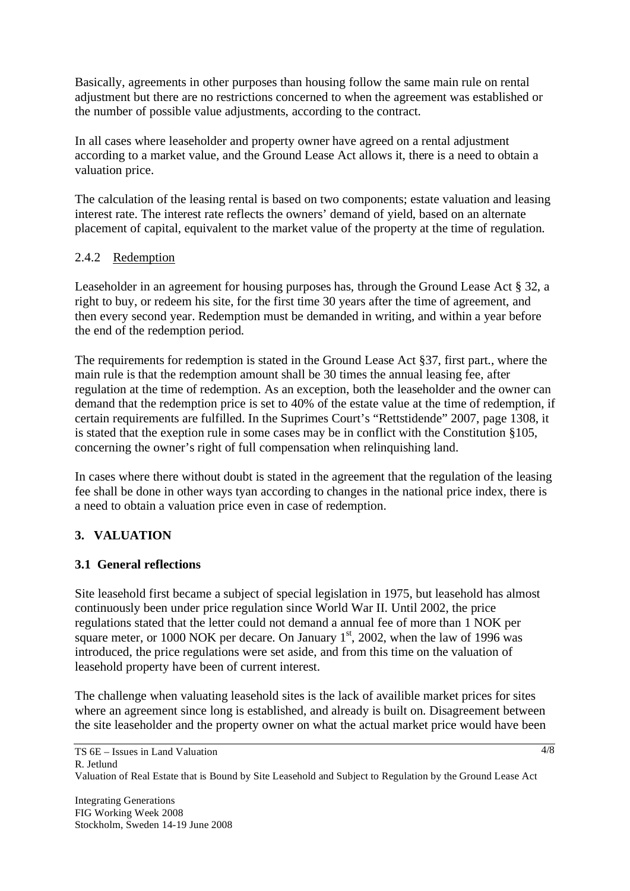Basically, agreements in other purposes than housing follow the same main rule on rental adjustment but there are no restrictions concerned to when the agreement was established or the number of possible value adjustments, according to the contract.

In all cases where leaseholder and property owner have agreed on a rental adjustment according to a market value, and the Ground Lease Act allows it, there is a need to obtain a valuation price.

The calculation of the leasing rental is based on two components; estate valuation and leasing interest rate. The interest rate reflects the owners' demand of yield, based on an alternate placement of capital, equivalent to the market value of the property at the time of regulation.

### 2.4.2 Redemption

Leaseholder in an agreement for housing purposes has, through the Ground Lease Act § 32, a right to buy, or redeem his site, for the first time 30 years after the time of agreement, and then every second year. Redemption must be demanded in writing, and within a year before the end of the redemption period.

The requirements for redemption is stated in the Ground Lease Act §37, first part., where the main rule is that the redemption amount shall be 30 times the annual leasing fee, after regulation at the time of redemption. As an exception, both the leaseholder and the owner can demand that the redemption price is set to 40% of the estate value at the time of redemption, if certain requirements are fulfilled. In the Suprimes Court's "Rettstidende" 2007, page 1308, it is stated that the exeption rule in some cases may be in conflict with the Constitution §105, concerning the owner's right of full compensation when relinquishing land.

In cases where there without doubt is stated in the agreement that the regulation of the leasing fee shall be done in other ways tyan according to changes in the national price index, there is a need to obtain a valuation price even in case of redemption.

# **3. VALUATION**

### **3.1 General reflections**

Site leasehold first became a subject of special legislation in 1975, but leasehold has almost continuously been under price regulation since World War II. Until 2002, the price regulations stated that the letter could not demand a annual fee of more than 1 NOK per square meter, or 1000 NOK per decare. On January  $1<sup>st</sup>$ , 2002, when the law of 1996 was introduced, the price regulations were set aside, and from this time on the valuation of leasehold property have been of current interest.

The challenge when valuating leasehold sites is the lack of availible market prices for sites where an agreement since long is established, and already is built on. Disagreement between the site leaseholder and the property owner on what the actual market price would have been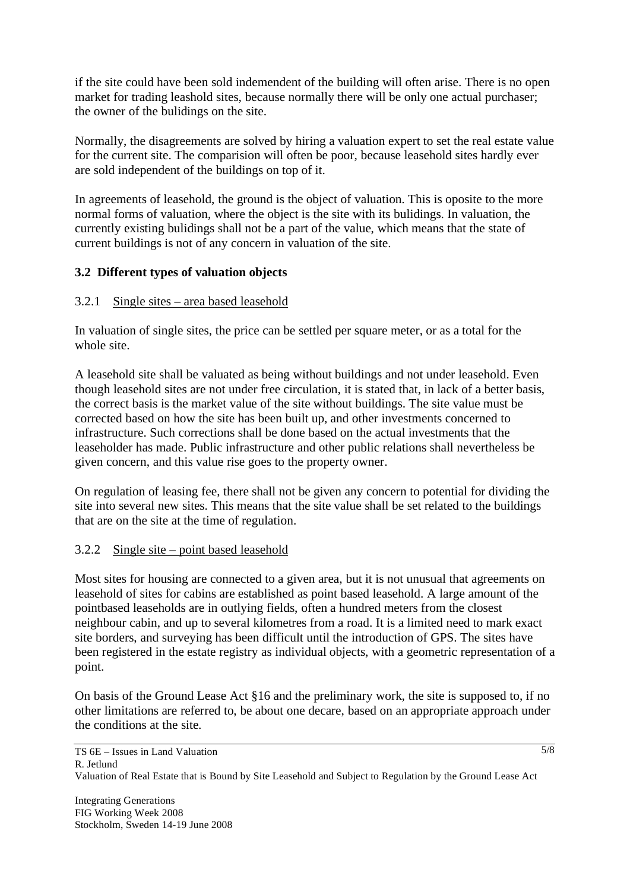if the site could have been sold indemendent of the building will often arise. There is no open market for trading leashold sites, because normally there will be only one actual purchaser; the owner of the bulidings on the site.

Normally, the disagreements are solved by hiring a valuation expert to set the real estate value for the current site. The comparision will often be poor, because leasehold sites hardly ever are sold independent of the buildings on top of it.

In agreements of leasehold, the ground is the object of valuation. This is oposite to the more normal forms of valuation, where the object is the site with its bulidings. In valuation, the currently existing bulidings shall not be a part of the value, which means that the state of current buildings is not of any concern in valuation of the site.

# **3.2 Different types of valuation objects**

### 3.2.1 Single sites – area based leasehold

In valuation of single sites, the price can be settled per square meter, or as a total for the whole site.

A leasehold site shall be valuated as being without buildings and not under leasehold. Even though leasehold sites are not under free circulation, it is stated that, in lack of a better basis, the correct basis is the market value of the site without buildings. The site value must be corrected based on how the site has been built up, and other investments concerned to infrastructure. Such corrections shall be done based on the actual investments that the leaseholder has made. Public infrastructure and other public relations shall nevertheless be given concern, and this value rise goes to the property owner.

On regulation of leasing fee, there shall not be given any concern to potential for dividing the site into several new sites. This means that the site value shall be set related to the buildings that are on the site at the time of regulation.

### 3.2.2 Single site – point based leasehold

Most sites for housing are connected to a given area, but it is not unusual that agreements on leasehold of sites for cabins are established as point based leasehold. A large amount of the pointbased leaseholds are in outlying fields, often a hundred meters from the closest neighbour cabin, and up to several kilometres from a road. It is a limited need to mark exact site borders, and surveying has been difficult until the introduction of GPS. The sites have been registered in the estate registry as individual objects, with a geometric representation of a point.

On basis of the Ground Lease Act §16 and the preliminary work, the site is supposed to, if no other limitations are referred to, be about one decare, based on an appropriate approach under the conditions at the site.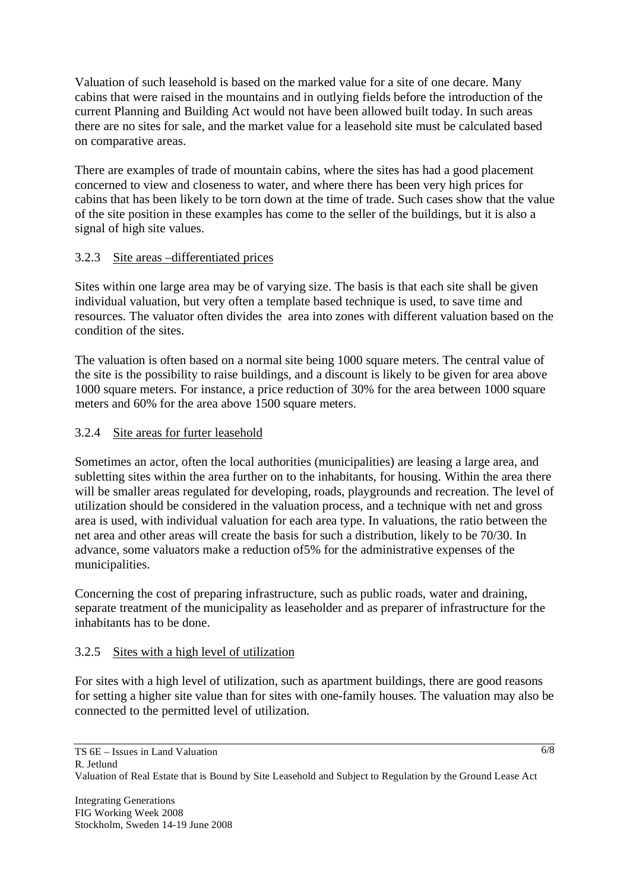Valuation of such leasehold is based on the marked value for a site of one decare. Many cabins that were raised in the mountains and in outlying fields before the introduction of the current Planning and Building Act would not have been allowed built today. In such areas there are no sites for sale, and the market value for a leasehold site must be calculated based on comparative areas.

There are examples of trade of mountain cabins, where the sites has had a good placement concerned to view and closeness to water, and where there has been very high prices for cabins that has been likely to be torn down at the time of trade. Such cases show that the value of the site position in these examples has come to the seller of the buildings, but it is also a signal of high site values.

# 3.2.3 Site areas –differentiated prices

Sites within one large area may be of varying size. The basis is that each site shall be given individual valuation, but very often a template based technique is used, to save time and resources. The valuator often divides the area into zones with different valuation based on the condition of the sites.

The valuation is often based on a normal site being 1000 square meters. The central value of the site is the possibility to raise buildings, and a discount is likely to be given for area above 1000 square meters. For instance, a price reduction of 30% for the area between 1000 square meters and 60% for the area above 1500 square meters.

# 3.2.4 Site areas for furter leasehold

Sometimes an actor, often the local authorities (municipalities) are leasing a large area, and subletting sites within the area further on to the inhabitants, for housing. Within the area there will be smaller areas regulated for developing, roads, playgrounds and recreation. The level of utilization should be considered in the valuation process, and a technique with net and gross area is used, with individual valuation for each area type. In valuations, the ratio between the net area and other areas will create the basis for such a distribution, likely to be 70/30. In advance, some valuators make a reduction of5% for the administrative expenses of the municipalities.

Concerning the cost of preparing infrastructure, such as public roads, water and draining, separate treatment of the municipality as leaseholder and as preparer of infrastructure for the inhabitants has to be done.

# 3.2.5 Sites with a high level of utilization

For sites with a high level of utilization, such as apartment buildings, there are good reasons for setting a higher site value than for sites with one-family houses. The valuation may also be connected to the permitted level of utilization.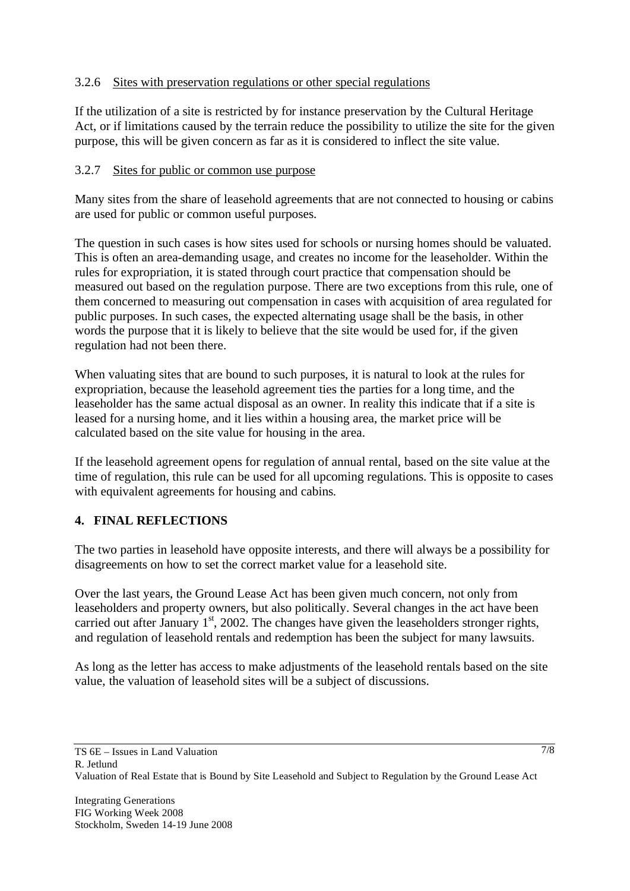### 3.2.6 Sites with preservation regulations or other special regulations

If the utilization of a site is restricted by for instance preservation by the Cultural Heritage Act, or if limitations caused by the terrain reduce the possibility to utilize the site for the given purpose, this will be given concern as far as it is considered to inflect the site value.

### 3.2.7 Sites for public or common use purpose

Many sites from the share of leasehold agreements that are not connected to housing or cabins are used for public or common useful purposes.

The question in such cases is how sites used for schools or nursing homes should be valuated. This is often an area-demanding usage, and creates no income for the leaseholder. Within the rules for expropriation, it is stated through court practice that compensation should be measured out based on the regulation purpose. There are two exceptions from this rule, one of them concerned to measuring out compensation in cases with acquisition of area regulated for public purposes. In such cases, the expected alternating usage shall be the basis, in other words the purpose that it is likely to believe that the site would be used for, if the given regulation had not been there.

When valuating sites that are bound to such purposes, it is natural to look at the rules for expropriation, because the leasehold agreement ties the parties for a long time, and the leaseholder has the same actual disposal as an owner. In reality this indicate that if a site is leased for a nursing home, and it lies within a housing area, the market price will be calculated based on the site value for housing in the area.

If the leasehold agreement opens for regulation of annual rental, based on the site value at the time of regulation, this rule can be used for all upcoming regulations. This is opposite to cases with equivalent agreements for housing and cabins.

### **4. FINAL REFLECTIONS**

The two parties in leasehold have opposite interests, and there will always be a possibility for disagreements on how to set the correct market value for a leasehold site.

Over the last years, the Ground Lease Act has been given much concern, not only from leaseholders and property owners, but also politically. Several changes in the act have been carried out after January  $1<sup>st</sup>$ , 2002. The changes have given the leaseholders stronger rights, and regulation of leasehold rentals and redemption has been the subject for many lawsuits.

As long as the letter has access to make adjustments of the leasehold rentals based on the site value, the valuation of leasehold sites will be a subject of discussions.